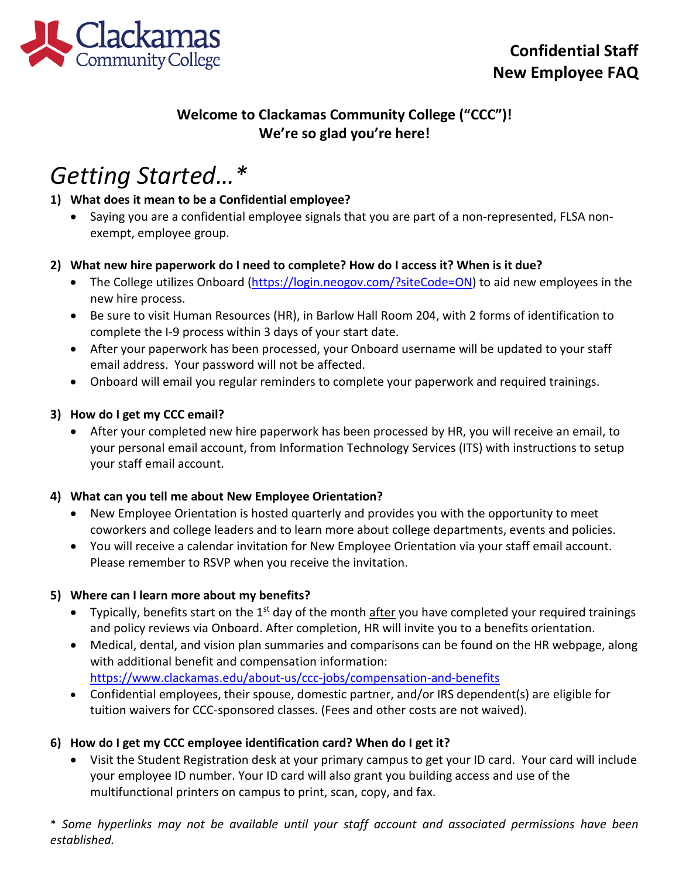

# **Welcome to Clackamas Community College ("CCC")! We're so glad you're here!**

# *Getting Started…\**

# **1) What does it mean to be a Confidential employee?**

• Saying you are a confidential employee signals that you are part of a non-represented, FLSA nonexempt, employee group.

### **2) What new hire paperwork do I need to complete? How do I access it? When is it due?**

- The College utilizes Onboard [\(https://login.neogov.com/?siteCode=ON\)](https://login.neogov.com/?siteCode=ON) to aid new employees in the new hire process.
- Be sure to visit Human Resources (HR), in Barlow Hall Room 204, with 2 forms of identification to complete the I-9 process within 3 days of your start date.
- After your paperwork has been processed, your Onboard username will be updated to your staff email address. Your password will not be affected.
- Onboard will email you regular reminders to complete your paperwork and required trainings.

### **3) How do I get my CCC email?**

• After your completed new hire paperwork has been processed by HR, you will receive an email, to your personal email account, from Information Technology Services (ITS) with instructions to setup your staff email account.

### **4) What can you tell me about New Employee Orientation?**

- New Employee Orientation is hosted quarterly and provides you with the opportunity to meet coworkers and college leaders and to learn more about college departments, events and policies.
- You will receive a calendar invitation for New Employee Orientation via your staff email account. Please remember to RSVP when you receive the invitation.

### **5) Where can I learn more about my benefits?**

- Typically, benefits start on the  $1<sup>st</sup>$  day of the month after you have completed your required trainings and policy reviews via Onboard. After completion, HR will invite you to a benefits orientation.
- Medical, dental, and vision plan summaries and comparisons can be found on the HR webpage, along with additional benefit and compensation information: <https://www.clackamas.edu/about-us/ccc-jobs/compensation-and-benefits>
- Confidential employees, their spouse, domestic partner, and/or IRS dependent(s) are eligible for tuition waivers for CCC-sponsored classes. (Fees and other costs are not waived).

# **6) How do I get my CCC employee identification card? When do I get it?**

• Visit the Student Registration desk at your primary campus to get your ID card. Your card will include your employee ID number. Your ID card will also grant you building access and use of the multifunctional printers on campus to print, scan, copy, and fax.

\* *Some hyperlinks may not be available until your staff account and associated permissions have been established.*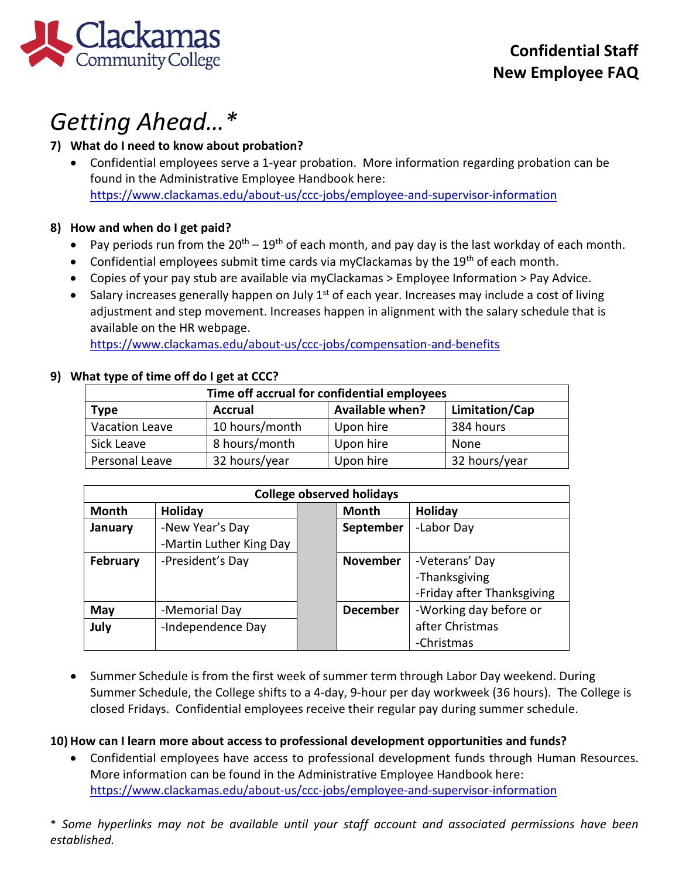

# *Getting Ahead…\**

### **7) What do I need to know about probation?**

• Confidential employees serve a 1-year probation. More information regarding probation can be found in the Administrative Employee Handbook here: <https://www.clackamas.edu/about-us/ccc-jobs/employee-and-supervisor-information>

### **8) How and when do I get paid?**

- Pay periods run from the  $20^{th} 19^{th}$  of each month, and pay day is the last workday of each month.
- Confidential employees submit time cards via myClackamas by the 19<sup>th</sup> of each month.
- Copies of your pay stub are available via myClackamas > Employee Information > Pay Advice.
- Salary increases generally happen on July  $1<sup>st</sup>$  of each year. Increases may include a cost of living adjustment and step movement. Increases happen in alignment with the salary schedule that is available on the HR webpage.

<https://www.clackamas.edu/about-us/ccc-jobs/compensation-and-benefits>

### **9) What type of time off do I get at CCC?**

| Time off accrual for confidential employees |                |                        |                |  |  |
|---------------------------------------------|----------------|------------------------|----------------|--|--|
| <b>Type</b>                                 | <b>Accrual</b> | <b>Available when?</b> | Limitation/Cap |  |  |
| <b>Vacation Leave</b>                       | 10 hours/month | Upon hire              | 384 hours      |  |  |
| Sick Leave                                  | 8 hours/month  | Upon hire              | None           |  |  |
| Personal Leave                              | 32 hours/year  | Upon hire              | 32 hours/year  |  |  |

| <b>College observed holidays</b> |                         |  |                 |                            |  |
|----------------------------------|-------------------------|--|-----------------|----------------------------|--|
| Month                            | Holiday                 |  | <b>Month</b>    | Holiday                    |  |
| January                          | -New Year's Day         |  | September       | -Labor Day                 |  |
|                                  | -Martin Luther King Day |  |                 |                            |  |
| February                         | -President's Day        |  | <b>November</b> | -Veterans' Day             |  |
|                                  |                         |  |                 | -Thanksgiving              |  |
|                                  |                         |  |                 | -Friday after Thanksgiving |  |
| May                              | -Memorial Day           |  | <b>December</b> | -Working day before or     |  |
| July                             | -Independence Day       |  |                 | after Christmas            |  |
|                                  |                         |  |                 | -Christmas                 |  |

• Summer Schedule is from the first week of summer term through Labor Day weekend. During Summer Schedule, the College shifts to a 4-day, 9-hour per day workweek (36 hours). The College is closed Fridays. Confidential employees receive their regular pay during summer schedule.

# **10) How can I learn more about access to professional development opportunities and funds?**

• Confidential employees have access to professional development funds through Human Resources. More information can be found in the Administrative Employee Handbook here: <https://www.clackamas.edu/about-us/ccc-jobs/employee-and-supervisor-information>

\* *Some hyperlinks may not be available until your staff account and associated permissions have been established.*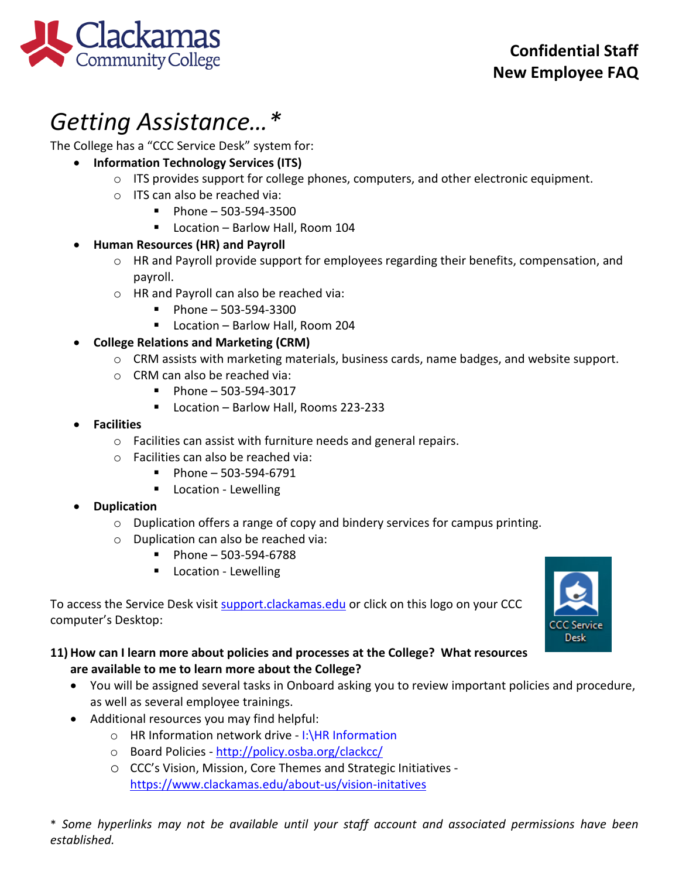

# *Getting Assistance…\**

The College has a "CCC Service Desk" system for:

- **Information Technology Services (ITS)**
	- $\circ$  ITS provides support for college phones, computers, and other electronic equipment.
	- o ITS can also be reached via:
		- $Phone 503-594-3500$
		- Location Barlow Hall, Room 104

# • **Human Resources (HR) and Payroll**

- o HR and Payroll provide support for employees regarding their benefits, compensation, and payroll.
- o HR and Payroll can also be reached via:
	- $\blacksquare$  Phone 503-594-3300
	- Location Barlow Hall, Room 204

# • **College Relations and Marketing (CRM)**

- o CRM assists with marketing materials, business cards, name badges, and website support.
- o CRM can also be reached via:
	- $\blacksquare$  Phone 503-594-3017
	- Location Barlow Hall, Rooms 223-233
- **Facilities**
	- o Facilities can assist with furniture needs and general repairs.
	- o Facilities can also be reached via:
		- $\blacksquare$  Phone 503-594-6791
		- **Location Lewelling**

# • **Duplication**

- o Duplication offers a range of copy and bindery services for campus printing.
- o Duplication can also be reached via:
	- $\blacksquare$  Phone 503-594-6788
	- **Location Lewelling**

To access the Service Desk visit [support.clackamas.edu](https://clackamas.teamdynamix.com/TDClient/Home/) or click on this logo on your CCC computer's Desktop:



# **11) How can I learn more about policies and processes at the College? What resources are available to me to learn more about the College?**

- You will be assigned several tasks in Onboard asking you to review important policies and procedure, as well as several employee trainings.
- Additional resources you may find helpful:
	- o HR Information network drive I:\HR Information
	- o Board Policies -<http://policy.osba.org/clackcc/>
	- o CCC's Vision, Mission, Core Themes and Strategic Initiatives <https://www.clackamas.edu/about-us/vision-initatives>

\* *Some hyperlinks may not be available until your staff account and associated permissions have been established.*